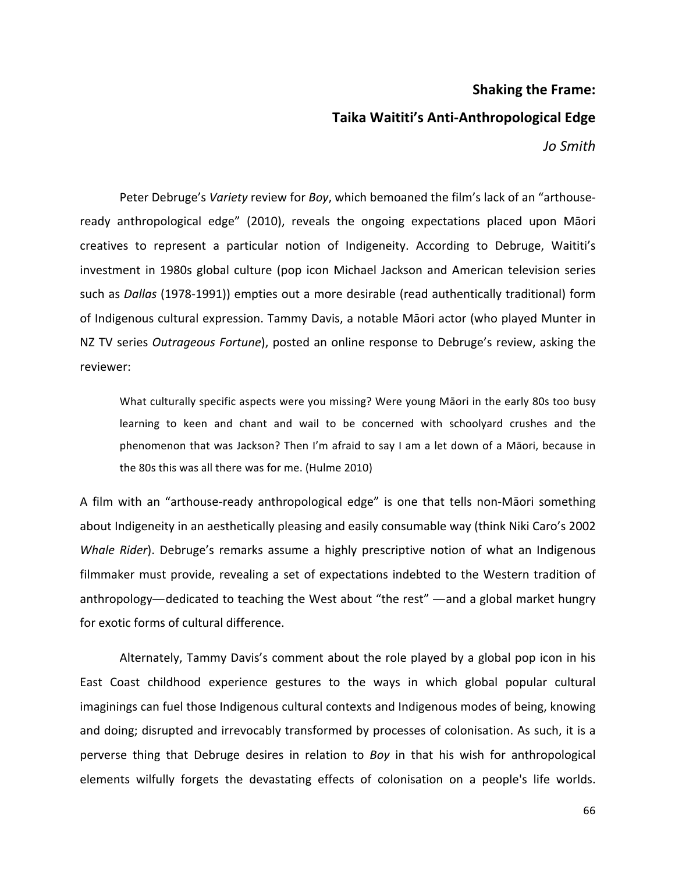# **Shaking the Frame:**

### **Taika Waititi's Anti-Anthropological Edge**

*Jo Smith*

Peter Debruge's *Variety* review for *Boy*, which bemoaned the film's lack of an "arthouseready anthropological edge" (2010), reveals the ongoing expectations placed upon Māori creatives to represent a particular notion of Indigeneity. According to Debruge, Waititi's investment in 1980s global culture (pop icon Michael Jackson and American television series such as *Dallas* (1978-1991)) empties out a more desirable (read authentically traditional) form of Indigenous cultural expression. Tammy Davis, a notable Māori actor (who played Munter in NZ TV series *Outrageous Fortune*), posted an online response to Debruge's review, asking the reviewer:

What culturally specific aspects were you missing? Were young Māori in the early 80s too busy learning to keen and chant and wail to be concerned with schoolyard crushes and the phenomenon that was Jackson? Then I'm afraid to say I am a let down of a Māori, because in the 80s this was all there was for me. (Hulme 2010)

A film with an "arthouse-ready anthropological edge" is one that tells non-Māori something about Indigeneity in an aesthetically pleasing and easily consumable way (think Niki Caro's 2002 *Whale Rider*). Debruge's remarks assume a highly prescriptive notion of what an Indigenous filmmaker must provide, revealing a set of expectations indebted to the Western tradition of anthropology—dedicated to teaching the West about "the rest" —and a global market hungry for exotic forms of cultural difference.

Alternately, Tammy Davis's comment about the role played by a global pop icon in his East Coast childhood experience gestures to the ways in which global popular cultural imaginings can fuel those Indigenous cultural contexts and Indigenous modes of being, knowing and doing; disrupted and irrevocably transformed by processes of colonisation. As such, it is a perverse thing that Debruge desires in relation to *Boy* in that his wish for anthropological elements wilfully forgets the devastating effects of colonisation on a people's life worlds.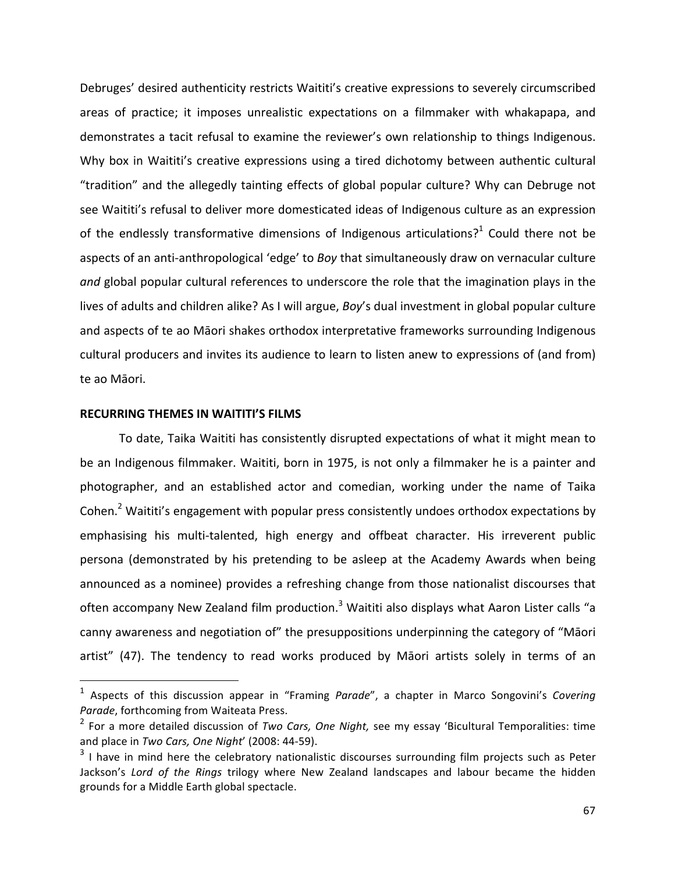Debruges' desired authenticity restricts Waititi's creative expressions to severely circumscribed areas of practice; it imposes unrealistic expectations on a filmmaker with whakapapa, and demonstrates a tacit refusal to examine the reviewer's own relationship to things Indigenous. Why box in Waititi's creative expressions using a tired dichotomy between authentic cultural "tradition" and the allegedly tainting effects of global popular culture? Why can Debruge not see Waititi's refusal to deliver more domesticated ideas of Indigenous culture as an expression of the endlessly transformative dimensions of Indigenous articulations?<sup>1</sup> Could there not be aspects of an anti-anthropological 'edge' to *Boy* that simultaneously draw on vernacular culture and global popular cultural references to underscore the role that the imagination plays in the lives of adults and children alike? As I will argue, *Boy's* dual investment in global popular culture and aspects of te ao Māori shakes orthodox interpretative frameworks surrounding Indigenous cultural producers and invites its audience to learn to listen anew to expressions of (and from) te ao Māori.

#### **RECURRING THEMES IN WAITITI'S FILMS**

<u>.</u>

To date, Taika Waititi has consistently disrupted expectations of what it might mean to be an Indigenous filmmaker. Waititi, born in 1975, is not only a filmmaker he is a painter and photographer, and an established actor and comedian, working under the name of Taika Cohen.<sup>2</sup> Waititi's engagement with popular press consistently undoes orthodox expectations by emphasising his multi-talented, high energy and offbeat character. His irreverent public persona (demonstrated by his pretending to be asleep at the Academy Awards when being announced as a nominee) provides a refreshing change from those nationalist discourses that often accompany New Zealand film production.<sup>3</sup> Waititi also displays what Aaron Lister calls "a canny awareness and negotiation of" the presuppositions underpinning the category of "Māori artist" (47). The tendency to read works produced by Māori artists solely in terms of an

<sup>&</sup>lt;sup>1</sup> Aspects of this discussion appear in "Framing *Parade"*, a chapter in Marco Songovini's Covering Parade, forthcoming from Waiteata Press.

<sup>&</sup>lt;sup>2</sup> For a more detailed discussion of *Two Cars, One Night,* see my essay 'Bicultural Temporalities: time and place in *Two Cars, One Night'* (2008: 44-59).

 $3$  I have in mind here the celebratory nationalistic discourses surrounding film projects such as Peter Jackson's *Lord of the Rings* trilogy where New Zealand landscapes and labour became the hidden grounds for a Middle Earth global spectacle.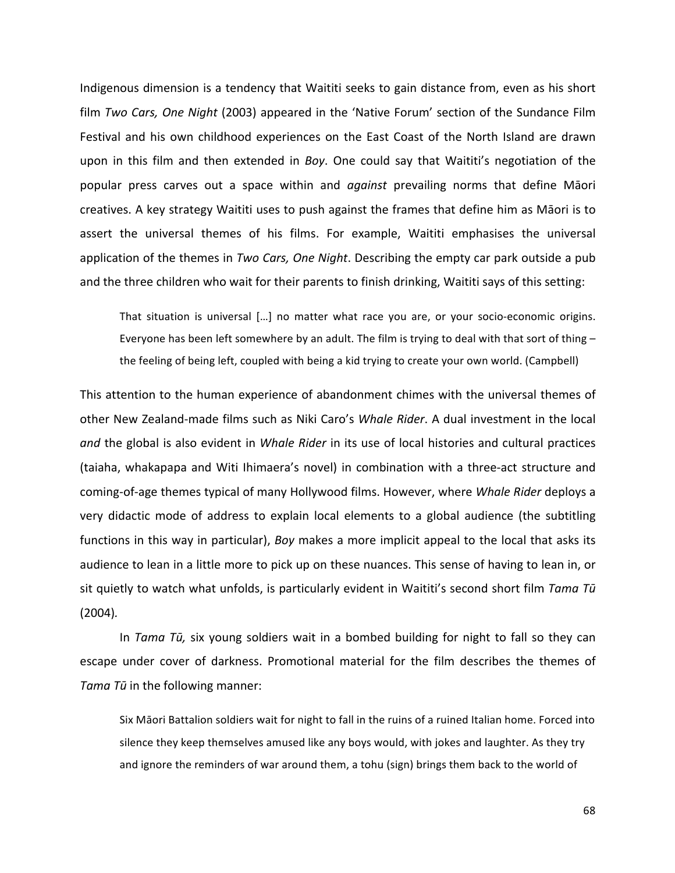Indigenous dimension is a tendency that Waititi seeks to gain distance from, even as his short film *Two Cars, One Night* (2003) appeared in the 'Native Forum' section of the Sundance Film Festival and his own childhood experiences on the East Coast of the North Island are drawn upon in this film and then extended in *Boy*. One could say that Waititi's negotiation of the popular press carves out a space within and *against* prevailing norms that define Māori creatives. A key strategy Waititi uses to push against the frames that define him as Māori is to assert the universal themes of his films. For example, Waititi emphasises the universal application of the themes in *Two Cars, One Night*. Describing the empty car park outside a pub and the three children who wait for their parents to finish drinking, Waititi says of this setting:

That situation is universal  $[...]$  no matter what race you are, or your socio-economic origins. Everyone has been left somewhere by an adult. The film is trying to deal with that sort of thing the feeling of being left, coupled with being a kid trying to create your own world. (Campbell)

This attention to the human experience of abandonment chimes with the universal themes of other New Zealand-made films such as Niki Caro's *Whale Rider*. A dual investment in the local and the global is also evident in *Whale Rider* in its use of local histories and cultural practices (taiaha, whakapapa and Witi Ihimaera's novel) in combination with a three-act structure and coming-of-age themes typical of many Hollywood films. However, where *Whale Rider* deploys a very didactic mode of address to explain local elements to a global audience (the subtitling functions in this way in particular), *Boy* makes a more implicit appeal to the local that asks its audience to lean in a little more to pick up on these nuances. This sense of having to lean in, or sit quietly to watch what unfolds, is particularly evident in Waititi's second short film *Tama Tū* (2004)*.*

In *Tama Tū,* six young soldiers wait in a bombed building for night to fall so they can escape under cover of darkness. Promotional material for the film describes the themes of Tama Tū in the following manner:

Six Māori Battalion soldiers wait for night to fall in the ruins of a ruined Italian home. Forced into silence they keep themselves amused like any boys would, with jokes and laughter. As they try and ignore the reminders of war around them, a tohu (sign) brings them back to the world of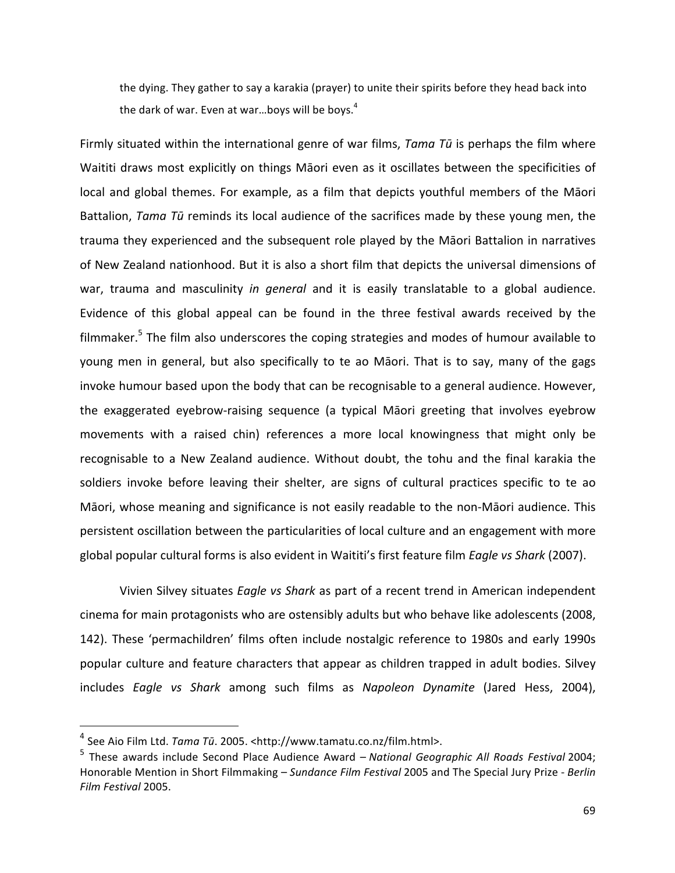the dying. They gather to say a karakia (prayer) to unite their spirits before they head back into the dark of war. Even at war...boys will be boys. $4$ 

Firmly situated within the international genre of war films, *Tama Tū* is perhaps the film where Waititi draws most explicitly on things Māori even as it oscillates between the specificities of local and global themes. For example, as a film that depicts youthful members of the Māori Battalion, *Tama Tū* reminds its local audience of the sacrifices made by these young men, the trauma they experienced and the subsequent role played by the Māori Battalion in narratives of New Zealand nationhood. But it is also a short film that depicts the universal dimensions of war, trauma and masculinity in general and it is easily translatable to a global audience. Evidence of this global appeal can be found in the three festival awards received by the filmmaker. $5$  The film also underscores the coping strategies and modes of humour available to young men in general, but also specifically to te ao Māori. That is to say, many of the gags invoke humour based upon the body that can be recognisable to a general audience. However, the exaggerated eyebrow-raising sequence (a typical Māori greeting that involves eyebrow movements with a raised chin) references a more local knowingness that might only be recognisable to a New Zealand audience. Without doubt, the tohu and the final karakia the soldiers invoke before leaving their shelter, are signs of cultural practices specific to te ao Māori, whose meaning and significance is not easily readable to the non-Māori audience. This persistent oscillation between the particularities of local culture and an engagement with more global popular cultural forms is also evident in Waititi's first feature film *Eagle vs Shark* (2007).

Vivien Silvey situates *Eagle vs Shark* as part of a recent trend in American independent cinema for main protagonists who are ostensibly adults but who behave like adolescents (2008, 142). These 'permachildren' films often include nostalgic reference to 1980s and early 1990s popular culture and feature characters that appear as children trapped in adult bodies. Silvey includes *Eagle vs Shark* among such films as Napoleon Dynamite (Jared Hess, 2004),

<sup>&</sup>lt;sup>4</sup> See Aio Film Ltd. *Tama Tū*. 2005. <http://www.tamatu.co.nz/film.html>.

<sup>&</sup>lt;sup>5</sup> These awards include Second Place Audience Award – *National Geographic All Roads Festival* 2004; Honorable Mention in Short Filmmaking - Sundance Film Festival 2005 and The Special Jury Prize - Berlin *Film Festival* 2005.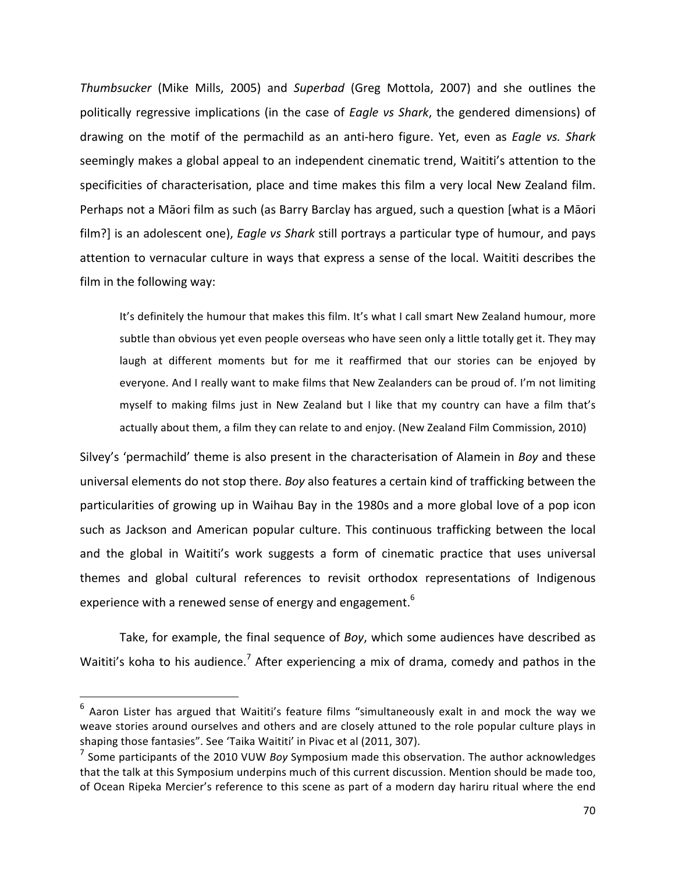Thumbsucker (Mike Mills, 2005) and Superbad (Greg Mottola, 2007) and she outlines the politically regressive implications (in the case of *Eagle vs Shark*, the gendered dimensions) of drawing on the motif of the permachild as an anti-hero figure. Yet, even as *Eagle vs. Shark* seemingly makes a global appeal to an independent cinematic trend, Waititi's attention to the specificities of characterisation, place and time makes this film a very local New Zealand film. Perhaps not a Māori film as such (as Barry Barclay has argued, such a question [what is a Māori film?] is an adolescent one), *Eagle vs Shark* still portrays a particular type of humour, and pays attention to vernacular culture in ways that express a sense of the local. Waititi describes the film in the following way:

It's definitely the humour that makes this film. It's what I call smart New Zealand humour, more subtle than obvious yet even people overseas who have seen only a little totally get it. They may laugh at different moments but for me it reaffirmed that our stories can be enjoyed by everyone. And I really want to make films that New Zealanders can be proud of. I'm not limiting myself to making films just in New Zealand but I like that my country can have a film that's actually about them, a film they can relate to and enjoy. (New Zealand Film Commission, 2010)

Silvey's 'permachild' theme is also present in the characterisation of Alamein in *Boy* and these universal elements do not stop there. *Boy* also features a certain kind of trafficking between the particularities of growing up in Waihau Bay in the 1980s and a more global love of a pop icon such as Jackson and American popular culture. This continuous trafficking between the local and the global in Waititi's work suggests a form of cinematic practice that uses universal themes and global cultural references to revisit orthodox representations of Indigenous experience with a renewed sense of energy and engagement.<sup>6</sup>

Take, for example, the final sequence of *Boy*, which some audiences have described as Waititi's koha to his audience.<sup>7</sup> After experiencing a mix of drama, comedy and pathos in the

<u>.</u>

 $6$  Aaron Lister has argued that Waititi's feature films "simultaneously exalt in and mock the way we weave stories around ourselves and others and are closely attuned to the role popular culture plays in shaping those fantasies". See 'Taika Waititi' in Pivac et al (2011, 307).

<sup>&</sup>lt;sup>7</sup> Some participants of the 2010 VUW *Boy* Symposium made this observation. The author acknowledges that the talk at this Symposium underpins much of this current discussion. Mention should be made too, of Ocean Ripeka Mercier's reference to this scene as part of a modern day hariru ritual where the end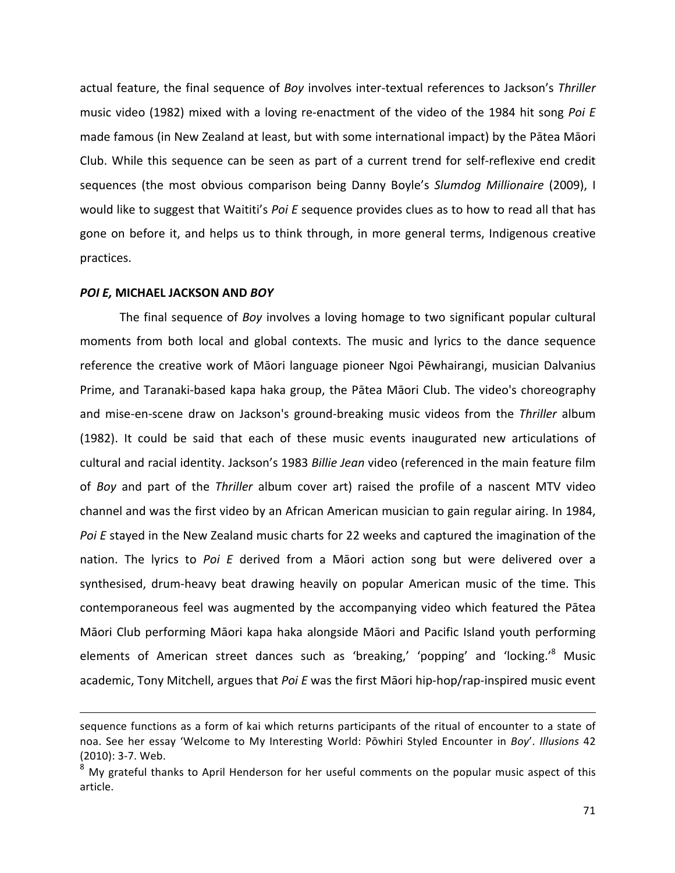actual feature, the final sequence of *Boy* involves inter-textual references to Jackson's Thriller music video (1982) mixed with a loving re-enactment of the video of the 1984 hit song *Poi E* made famous (in New Zealand at least, but with some international impact) by the Pātea Māori Club. While this sequence can be seen as part of a current trend for self-reflexive end credit sequences (the most obvious comparison being Danny Boyle's *Slumdog Millionaire* (2009), I would like to suggest that Waititi's *Poi E* sequence provides clues as to how to read all that has gone on before it, and helps us to think through, in more general terms, Indigenous creative practices.

#### *POI E,* **MICHAEL JACKSON AND** *BOY*

 $\overline{a}$ 

The final sequence of *Boy* involves a loving homage to two significant popular cultural moments from both local and global contexts. The music and lyrics to the dance sequence reference the creative work of Māori language pioneer Ngoi Pēwhairangi, musician Dalvanius Prime, and Taranaki-based kapa haka group, the Pātea Māori Club. The video's choreography and mise-en-scene draw on Jackson's ground-breaking music videos from the Thriller album (1982). It could be said that each of these music events inaugurated new articulations of cultural and racial identity. Jackson's 1983 Billie Jean video (referenced in the main feature film of *Boy* and part of the *Thriller* album cover art) raised the profile of a nascent MTV video channel and was the first video by an African American musician to gain regular airing. In 1984, *Poi E* stayed in the New Zealand music charts for 22 weeks and captured the imagination of the nation. The lyrics to Poi E derived from a Māori action song but were delivered over a synthesised, drum-heavy beat drawing heavily on popular American music of the time. This contemporaneous feel was augmented by the accompanying video which featured the Pātea Māori Club performing Māori kapa haka alongside Māori and Pacific Island youth performing elements of American street dances such as 'breaking,' 'popping' and 'locking.'<sup>8</sup> Music academic, Tony Mitchell, argues that *Poi E* was the first Maori hip-hop/rap-inspired music event

sequence functions as a form of kai which returns participants of the ritual of encounter to a state of noa. See her essay 'Welcome to My Interesting World: Pōwhiri Styled Encounter in *Boy'*. *Illusions* 42  $(2010): 3-7.$  Web.

 $8\,$  My grateful thanks to April Henderson for her useful comments on the popular music aspect of this article.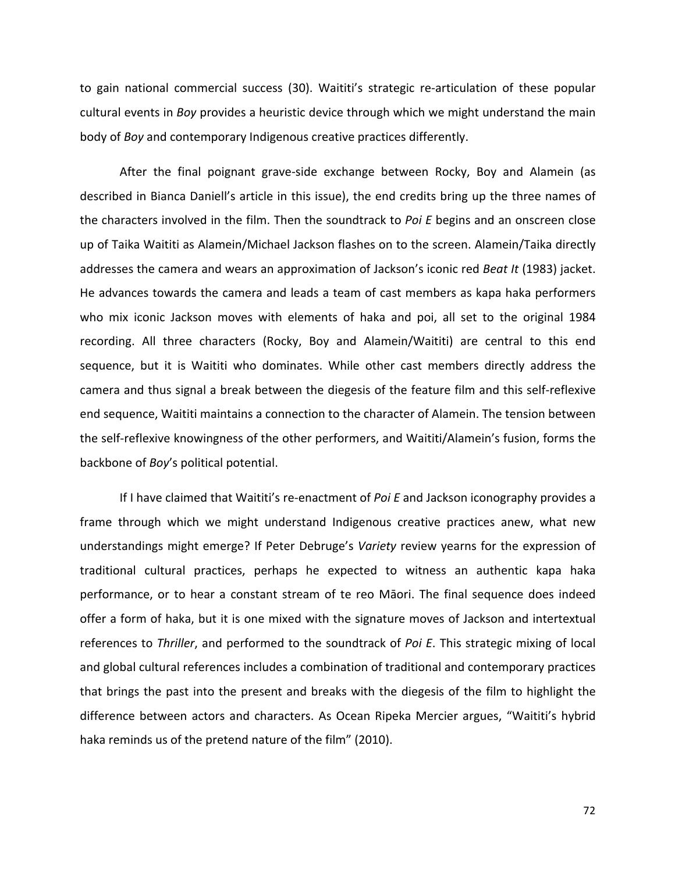to gain national commercial success (30). Waititi's strategic re-articulation of these popular cultural events in *Boy* provides a heuristic device through which we might understand the main body of *Boy* and contemporary Indigenous creative practices differently.

After the final poignant grave-side exchange between Rocky, Boy and Alamein (as described in Bianca Daniell's article in this issue), the end credits bring up the three names of the characters involved in the film. Then the soundtrack to *Poi E* begins and an onscreen close up of Taika Waititi as Alamein/Michael Jackson flashes on to the screen. Alamein/Taika directly addresses the camera and wears an approximation of Jackson's iconic red *Beat It* (1983) jacket. He advances towards the camera and leads a team of cast members as kapa haka performers who mix iconic Jackson moves with elements of haka and poi, all set to the original 1984 recording. All three characters (Rocky, Boy and Alamein/Waititi) are central to this end sequence, but it is Waititi who dominates. While other cast members directly address the camera and thus signal a break between the diegesis of the feature film and this self-reflexive end sequence, Waititi maintains a connection to the character of Alamein. The tension between the self-reflexive knowingness of the other performers, and Waititi/Alamein's fusion, forms the backbone of *Boy's* political potential.

If I have claimed that Waititi's re-enactment of *Poi E* and Jackson iconography provides a frame through which we might understand Indigenous creative practices anew, what new understandings might emerge? If Peter Debruge's *Variety* review yearns for the expression of traditional cultural practices, perhaps he expected to witness an authentic kapa haka performance, or to hear a constant stream of te reo Māori. The final sequence does indeed offer a form of haka, but it is one mixed with the signature moves of Jackson and intertextual references to *Thriller*, and performed to the soundtrack of *Poi E*. This strategic mixing of local and global cultural references includes a combination of traditional and contemporary practices that brings the past into the present and breaks with the diegesis of the film to highlight the difference between actors and characters. As Ocean Ripeka Mercier argues, "Waititi's hybrid haka reminds us of the pretend nature of the film" (2010).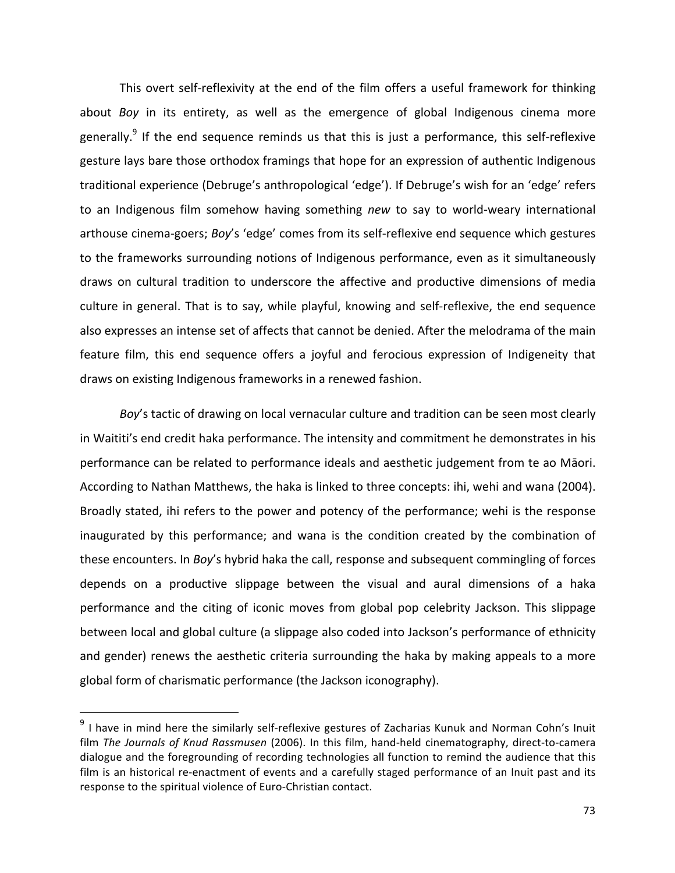This overt self-reflexivity at the end of the film offers a useful framework for thinking about *Boy* in its entirety, as well as the emergence of global Indigenous cinema more generally.<sup>9</sup> If the end sequence reminds us that this is just a performance, this self-reflexive gesture lays bare those orthodox framings that hope for an expression of authentic Indigenous traditional experience (Debruge's anthropological 'edge'). If Debruge's wish for an 'edge' refers to an Indigenous film somehow having something *new* to say to world-weary international arthouse cinema-goers; *Boy's* 'edge' comes from its self-reflexive end sequence which gestures to the frameworks surrounding notions of Indigenous performance, even as it simultaneously draws on cultural tradition to underscore the affective and productive dimensions of media culture in general. That is to say, while playful, knowing and self-reflexive, the end sequence also expresses an intense set of affects that cannot be denied. After the melodrama of the main feature film, this end sequence offers a joyful and ferocious expression of Indigeneity that draws on existing Indigenous frameworks in a renewed fashion.

*Boy's* tactic of drawing on local vernacular culture and tradition can be seen most clearly in Waititi's end credit haka performance. The intensity and commitment he demonstrates in his performance can be related to performance ideals and aesthetic judgement from te ao Māori. According to Nathan Matthews, the haka is linked to three concepts: ihi, wehi and wana (2004). Broadly stated, ihi refers to the power and potency of the performance; wehi is the response inaugurated by this performance; and wana is the condition created by the combination of these encounters. In *Boy's* hybrid haka the call, response and subsequent commingling of forces depends on a productive slippage between the visual and aural dimensions of a haka performance and the citing of iconic moves from global pop celebrity Jackson. This slippage between local and global culture (a slippage also coded into Jackson's performance of ethnicity and gender) renews the aesthetic criteria surrounding the haka by making appeals to a more global form of charismatic performance (the Jackson iconography).

<u>.</u>

 $9$  I have in mind here the similarly self-reflexive gestures of Zacharias Kunuk and Norman Cohn's Inuit film The Journals of Knud Rassmusen (2006). In this film, hand-held cinematography, direct-to-camera dialogue and the foregrounding of recording technologies all function to remind the audience that this film is an historical re-enactment of events and a carefully staged performance of an Inuit past and its response to the spiritual violence of Euro-Christian contact.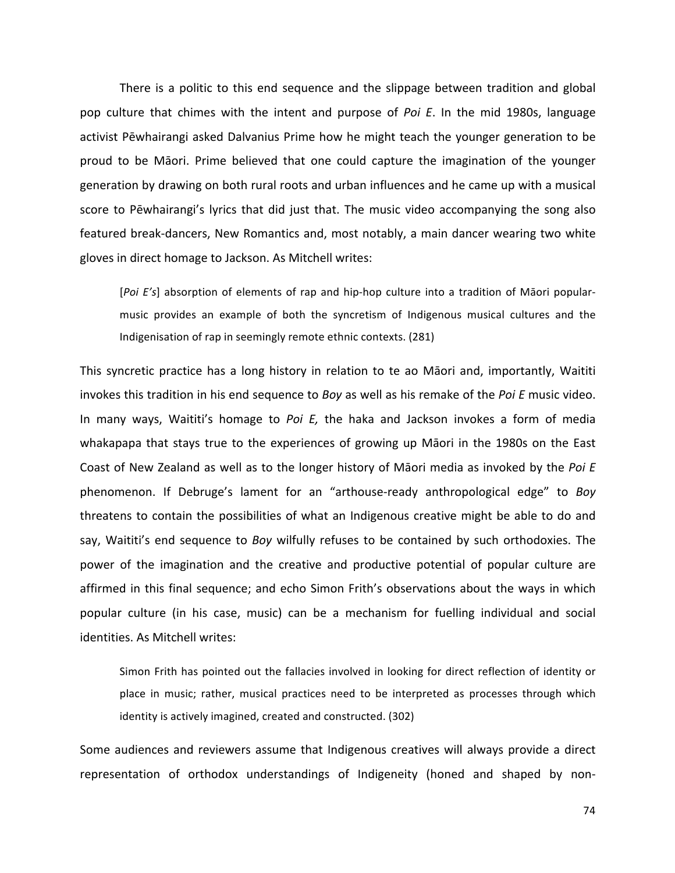There is a politic to this end sequence and the slippage between tradition and global pop culture that chimes with the intent and purpose of *Poi E*. In the mid 1980s, language activist Pēwhairangi asked Dalvanius Prime how he might teach the younger generation to be proud to be Māori. Prime believed that one could capture the imagination of the younger generation by drawing on both rural roots and urban influences and he came up with a musical score to Pēwhairangi's lyrics that did just that. The music video accompanying the song also featured break-dancers, New Romantics and, most notably, a main dancer wearing two white gloves in direct homage to Jackson. As Mitchell writes:

[Poi E's] absorption of elements of rap and hip-hop culture into a tradition of Māori popularmusic provides an example of both the syncretism of Indigenous musical cultures and the Indigenisation of rap in seemingly remote ethnic contexts. (281)

This syncretic practice has a long history in relation to te ao Māori and, importantly, Waititi invokes this tradition in his end sequence to *Boy* as well as his remake of the *Poi E* music video. In many ways, Waititi's homage to *Poi E*, the haka and Jackson invokes a form of media whakapapa that stays true to the experiences of growing up Māori in the 1980s on the East Coast of New Zealand as well as to the longer history of Māori media as invoked by the Poi E phenomenon. If Debruge's lament for an "arthouse-ready anthropological edge" to *Boy* threatens to contain the possibilities of what an Indigenous creative might be able to do and say, Waititi's end sequence to *Boy* wilfully refuses to be contained by such orthodoxies. The power of the imagination and the creative and productive potential of popular culture are affirmed in this final sequence; and echo Simon Frith's observations about the ways in which popular culture (in his case, music) can be a mechanism for fuelling individual and social identities. As Mitchell writes:

Simon Frith has pointed out the fallacies involved in looking for direct reflection of identity or place in music; rather, musical practices need to be interpreted as processes through which identity is actively imagined, created and constructed. (302)

Some audiences and reviewers assume that Indigenous creatives will always provide a direct representation of orthodox understandings of Indigeneity (honed and shaped by non-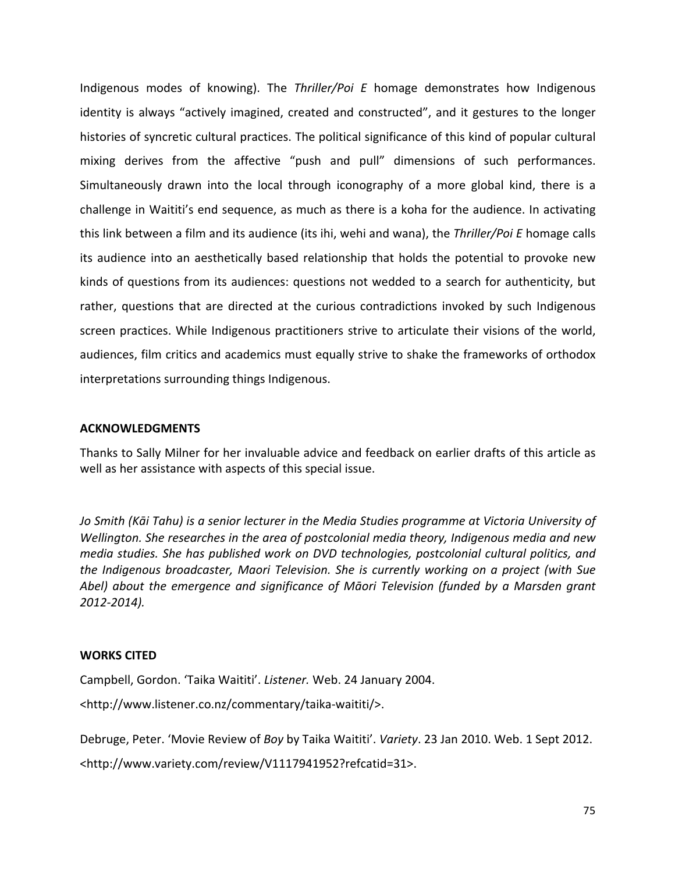Indigenous modes of knowing). The *Thriller/Poi E* homage demonstrates how Indigenous identity is always "actively imagined, created and constructed", and it gestures to the longer histories of syncretic cultural practices. The political significance of this kind of popular cultural mixing derives from the affective "push and pull" dimensions of such performances. Simultaneously drawn into the local through iconography of a more global kind, there is a challenge in Waititi's end sequence, as much as there is a koha for the audience. In activating this link between a film and its audience (its ihi, wehi and wana), the Thriller/Poi E homage calls its audience into an aesthetically based relationship that holds the potential to provoke new kinds of questions from its audiences: questions not wedded to a search for authenticity, but rather, questions that are directed at the curious contradictions invoked by such Indigenous screen practices. While Indigenous practitioners strive to articulate their visions of the world, audiences, film critics and academics must equally strive to shake the frameworks of orthodox interpretations surrounding things Indigenous.

### **ACKNOWLEDGMENTS**

Thanks to Sally Milner for her invaluable advice and feedback on earlier drafts of this article as well as her assistance with aspects of this special issue.

Jo Smith (Kāi Tahu) is a senior lecturer in the Media Studies programme at Victoria University of *Wellington.* She researches in the area of postcolonial media theory, Indigenous media and new *media studies. She has published work on DVD technologies, postcolonial cultural politics, and the Indigenous broadcaster, Maori Television. She is currently working on a project (with Sue* Abel) about the emergence and significance of Māori Television (funded by a Marsden grant *2012-2014).* 

## **WORKS CITED**

Campbell, Gordon. 'Taika Waititi'. Listener. Web. 24 January 2004.

<http://www.listener.co.nz/commentary/taika-waititi/>. 

Debruge, Peter. 'Movie Review of *Boy* by Taika Waititi'. *Variety*. 23 Jan 2010. Web. 1 Sept 2012.

<http://www.variety.com/review/V1117941952?refcatid=31>.